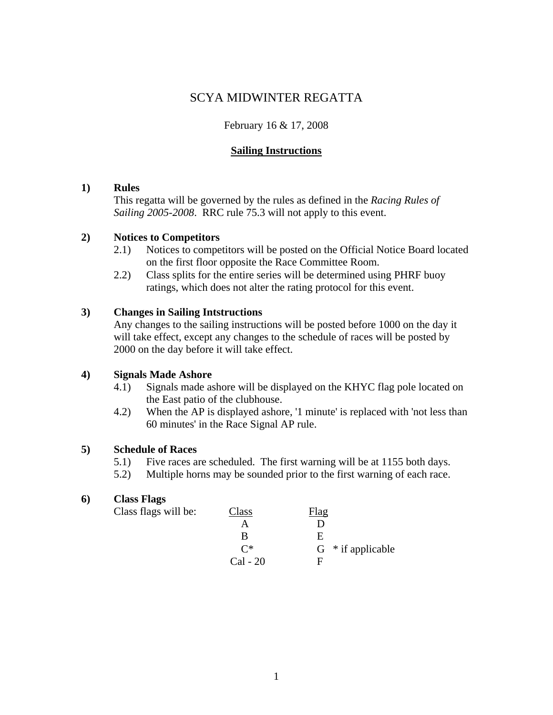# SCYA MIDWINTER REGATTA

## February 16 & 17, 2008

### **Sailing Instructions**

#### **1) Rules**

 This regatta will be governed by the rules as defined in the *Racing Rules of Sailing 2005-2008*. RRC rule 75.3 will not apply to this event.

### **2) Notices to Competitors**

- 2.1) Notices to competitors will be posted on the Official Notice Board located on the first floor opposite the Race Committee Room.
- 2.2) Class splits for the entire series will be determined using PHRF buoy ratings, which does not alter the rating protocol for this event.

### **3) Changes in Sailing Intstructions**

 Any changes to the sailing instructions will be posted before 1000 on the day it will take effect, except any changes to the schedule of races will be posted by 2000 on the day before it will take effect.

### **4) Signals Made Ashore**

- 4.1) Signals made ashore will be displayed on the KHYC flag pole located on the East patio of the clubhouse.
- 4.2) When the AP is displayed ashore, '1 minute' is replaced with 'not less than 60 minutes' in the Race Signal AP rule.

### **5) Schedule of Races**

- 5.1) Five races are scheduled. The first warning will be at 1155 both days.
- 5.2) Multiple horns may be sounded prior to the first warning of each race.

#### **6) Class Flags**

Class flags will be: Class Flag A D B E  $C^*$  G \* if applicable Cal - 20 F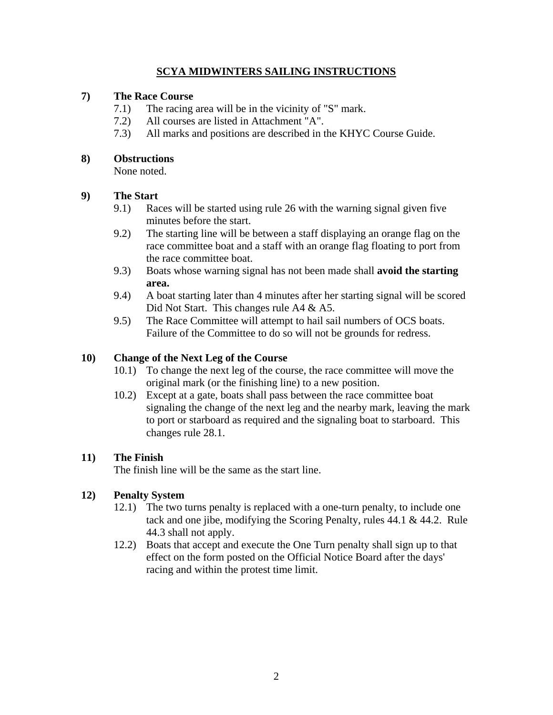## **SCYA MIDWINTERS SAILING INSTRUCTIONS**

## **7) The Race Course**

- 7.1) The racing area will be in the vicinity of "S" mark.
- 7.2) All courses are listed in Attachment "A".
- 7.3) All marks and positions are described in the KHYC Course Guide.

## **8) Obstructions**

None noted.

## **9) The Start**

- 9.1) Races will be started using rule 26 with the warning signal given five minutes before the start.
- 9.2) The starting line will be between a staff displaying an orange flag on the race committee boat and a staff with an orange flag floating to port from the race committee boat.
- 9.3) Boats whose warning signal has not been made shall **avoid the starting area.**
- 9.4) A boat starting later than 4 minutes after her starting signal will be scored Did Not Start. This changes rule A4 & A5.
- 9.5) The Race Committee will attempt to hail sail numbers of OCS boats. Failure of the Committee to do so will not be grounds for redress.

## **10) Change of the Next Leg of the Course**

- 10.1) To change the next leg of the course, the race committee will move the original mark (or the finishing line) to a new position.
- 10.2) Except at a gate, boats shall pass between the race committee boat signaling the change of the next leg and the nearby mark, leaving the mark to port or starboard as required and the signaling boat to starboard. This changes rule 28.1.

## **11) The Finish**

The finish line will be the same as the start line.

## **12) Penalty System**

- 12.1) The two turns penalty is replaced with a one-turn penalty, to include one tack and one jibe, modifying the Scoring Penalty, rules 44.1 & 44.2. Rule 44.3 shall not apply.
- 12.2) Boats that accept and execute the One Turn penalty shall sign up to that effect on the form posted on the Official Notice Board after the days' racing and within the protest time limit.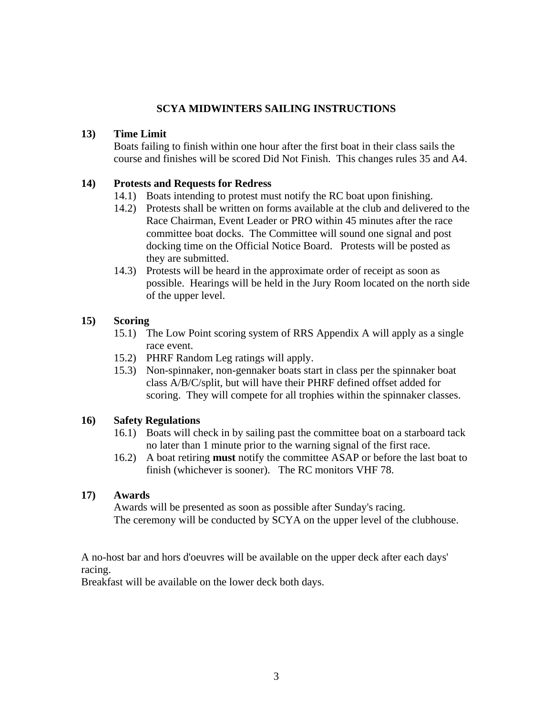### **SCYA MIDWINTERS SAILING INSTRUCTIONS**

### **13) Time Limit**

 Boats failing to finish within one hour after the first boat in their class sails the course and finishes will be scored Did Not Finish. This changes rules 35 and A4.

### **14) Protests and Requests for Redress**

- 14.1) Boats intending to protest must notify the RC boat upon finishing.
- 14.2) Protests shall be written on forms available at the club and delivered to the Race Chairman, Event Leader or PRO within 45 minutes after the race committee boat docks. The Committee will sound one signal and post docking time on the Official Notice Board. Protests will be posted as they are submitted.
- 14.3) Protests will be heard in the approximate order of receipt as soon as possible. Hearings will be held in the Jury Room located on the north side of the upper level.

### **15) Scoring**

- 15.1) The Low Point scoring system of RRS Appendix A will apply as a single race event.
- 15.2) PHRF Random Leg ratings will apply.
- 15.3) Non-spinnaker, non-gennaker boats start in class per the spinnaker boat class A/B/C/split, but will have their PHRF defined offset added for scoring. They will compete for all trophies within the spinnaker classes.

### **16) Safety Regulations**

- 16.1) Boats will check in by sailing past the committee boat on a starboard tack no later than 1 minute prior to the warning signal of the first race.
- 16.2) A boat retiring **must** notify the committee ASAP or before the last boat to finish (whichever is sooner). The RC monitors VHF 78.

### **17) Awards**

 Awards will be presented as soon as possible after Sunday's racing. The ceremony will be conducted by SCYA on the upper level of the clubhouse.

A no-host bar and hors d'oeuvres will be available on the upper deck after each days' racing.

Breakfast will be available on the lower deck both days.